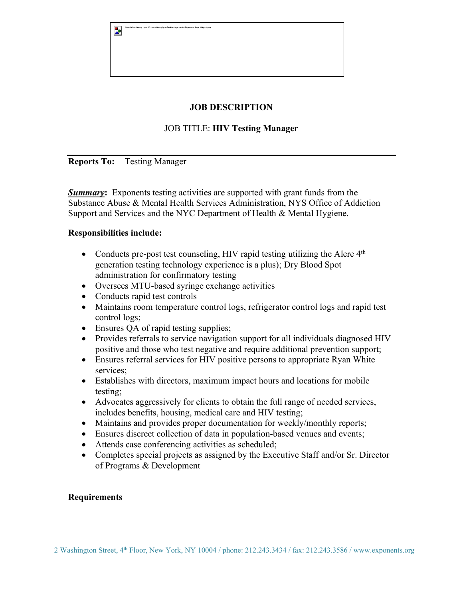| $\mathbf{z}$ | Description: Wendy Lynn HD:Users:WendyLynn:Desktop:logo.packet:Exponents_logo_ltbkgrnd.png |
|--------------|--------------------------------------------------------------------------------------------|
|              |                                                                                            |
|              |                                                                                            |
|              |                                                                                            |

## **JOB DESCRIPTION**

## JOB TITLE: **HIV Testing Manager**

**Reports To:** Testing Manager

*Summary***:** Exponents testing activities are supported with grant funds from the Substance Abuse & Mental Health Services Administration, NYS Office of Addiction Support and Services and the NYC Department of Health & Mental Hygiene.

## **Responsibilities include:**

- Conducts pre-post test counseling, HIV rapid testing utilizing the Alere  $4<sup>th</sup>$ generation testing technology experience is a plus); Dry Blood Spot administration for confirmatory testing
- Oversees MTU-based syringe exchange activities
- Conducts rapid test controls
- Maintains room temperature control logs, refrigerator control logs and rapid test control logs;
- Ensures QA of rapid testing supplies;
- Provides referrals to service navigation support for all individuals diagnosed HIV positive and those who test negative and require additional prevention support;
- Ensures referral services for HIV positive persons to appropriate Ryan White services;
- Establishes with directors, maximum impact hours and locations for mobile testing;
- Advocates aggressively for clients to obtain the full range of needed services, includes benefits, housing, medical care and HIV testing;
- Maintains and provides proper documentation for weekly/monthly reports;
- Ensures discreet collection of data in population-based venues and events;
- Attends case conferencing activities as scheduled;
- Completes special projects as assigned by the Executive Staff and/or Sr. Director of Programs & Development

## **Requirements**